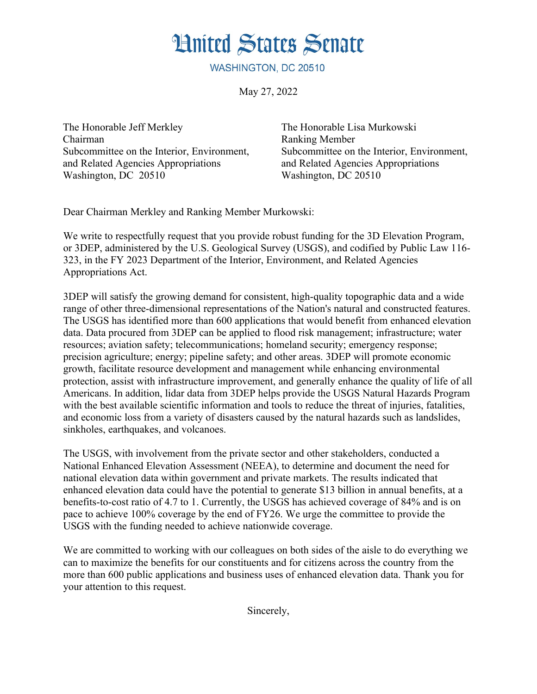**Hnited States Senate** 

WASHINGTON, DC 20510

May 27, 2022

The Honorable Jeff Merkley Chairman Subcommittee on the Interior, Environment, and Related Agencies Appropriations Washington, DC 20510

The Honorable Lisa Murkowski Ranking Member Subcommittee on the Interior, Environment, and Related Agencies Appropriations Washington, DC 20510

Dear Chairman Merkley and Ranking Member Murkowski:

We write to respectfully request that you provide robust funding for the 3D Elevation Program, or 3DEP, administered by the U.S. Geological Survey (USGS), and codified by Public Law 116- 323, in the FY 2023 Department of the Interior, Environment, and Related Agencies Appropriations Act.

3DEP will satisfy the growing demand for consistent, high-quality topographic data and a wide range of other three-dimensional representations of the Nation's natural and constructed features. The USGS has identified more than 600 applications that would benefit from enhanced elevation data. Data procured from 3DEP can be applied to flood risk management; infrastructure; water resources; aviation safety; telecommunications; homeland security; emergency response; precision agriculture; energy; pipeline safety; and other areas. 3DEP will promote economic growth, facilitate resource development and management while enhancing environmental protection, assist with infrastructure improvement, and generally enhance the quality of life of all Americans. In addition, lidar data from 3DEP helps provide the USGS Natural Hazards Program with the best available scientific information and tools to reduce the threat of injuries, fatalities, and economic loss from a variety of disasters caused by the natural hazards such as landslides, sinkholes, earthquakes, and volcanoes.

The USGS, with involvement from the private sector and other stakeholders, conducted a National Enhanced Elevation Assessment (NEEA), to determine and document the need for national elevation data within government and private markets. The results indicated that enhanced elevation data could have the potential to generate \$13 billion in annual benefits, at a benefits-to-cost ratio of 4.7 to 1. Currently, the USGS has achieved coverage of 84% and is on pace to achieve 100% coverage by the end of FY26. We urge the committee to provide the USGS with the funding needed to achieve nationwide coverage.

We are committed to working with our colleagues on both sides of the aisle to do everything we can to maximize the benefits for our constituents and for citizens across the country from the more than 600 public applications and business uses of enhanced elevation data. Thank you for your attention to this request.

Sincerely,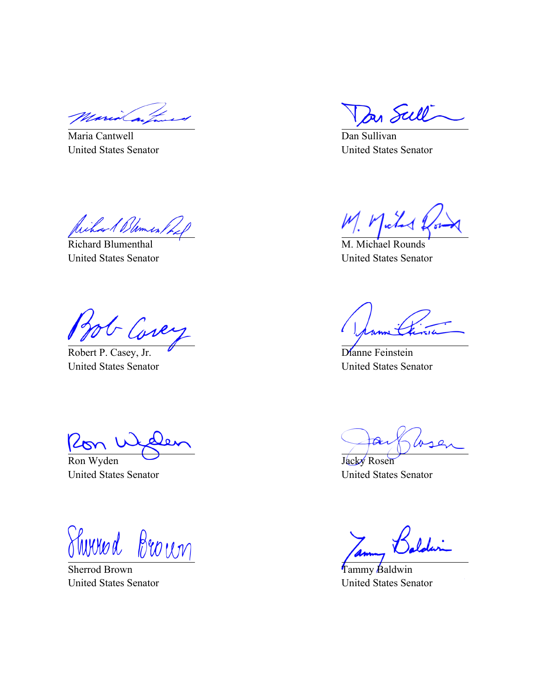Maria Cantwell United States Senator

Richard Blomes,

Richard Blumenthal United States Senator

- Covey

Robert P. Casey, Jr. United States Senator

Ron Wyden

United States Senator

Shirred Brown

Sherrod Brown United States Senator

In Sull

Dan Sullivan United States Senator

M. Michael Rounds United States Senator

Dianne Feinstein United States Senator

 $\omega$ 

Jacky Rosen United States Senator

Tammy Baldwin United States Senator